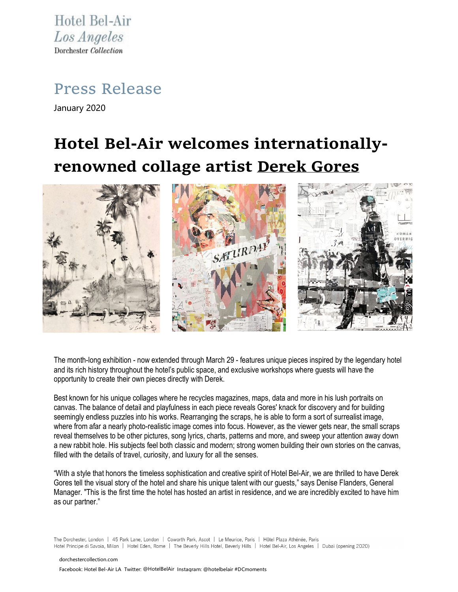Hotel Bel-Air Los Angeles Dorchester Collection

Press Release

January 2020

## **Hotel Bel-Air welcomes internationallyrenowned collage artist [Derek Gores](http://www.derekgores.com/)**



The month-long exhibition - now extended through March 29 - features unique pieces inspired by the legendary hotel and its rich history throughout the hotel's public space, and exclusive workshops where guests will have the opportunity to create their own pieces directly with Derek.

Best known for his unique collages where he recycles magazines, maps, data and more in his lush portraits on canvas. The balance of detail and playfulness in each piece reveals Gores' knack for discovery and for building seemingly endless puzzles into his works. Rearranging the scraps, he is able to form a sort of surrealist image, where from afar a nearly photo-realistic image comes into focus. However, as the viewer gets near, the small scraps reveal themselves to be other pictures, song lyrics, charts, patterns and more, and sweep your attention away down a new rabbit hole. His subjects feel both classic and modern; strong women building their own stories on the canvas, filled with the details of travel, curiosity, and luxury for all the senses.

"With a style that honors the timeless sophistication and creative spirit of Hotel Bel-Air, we are thrilled to have Derek Gores tell the visual story of the hotel and share his unique talent with our guests," says Denise Flanders, General Manager. "This is the first time the hotel has hosted an artist in residence, and we are incredibly excited to have him as our partner."

The Dorchester, London | 45 Park Lane, London | Coworth Park, Ascot | Le Meurice, Paris | Hôtel Plaza Athénée, Paris Hotel Principe di Savoia, Milan | Hotel Eden, Rome | The Beverly Hills Hotel, Beverly Hills | Hotel Bel-Air, Los Angeles | Dubai (opening 2020)

[dorchestercollection.com](http://www.dorchestercollection.com/) Facebook: Hotel Bel-Air LA Twitter: @HotelBelAir Instagram: @hotelbelair #DCmoments